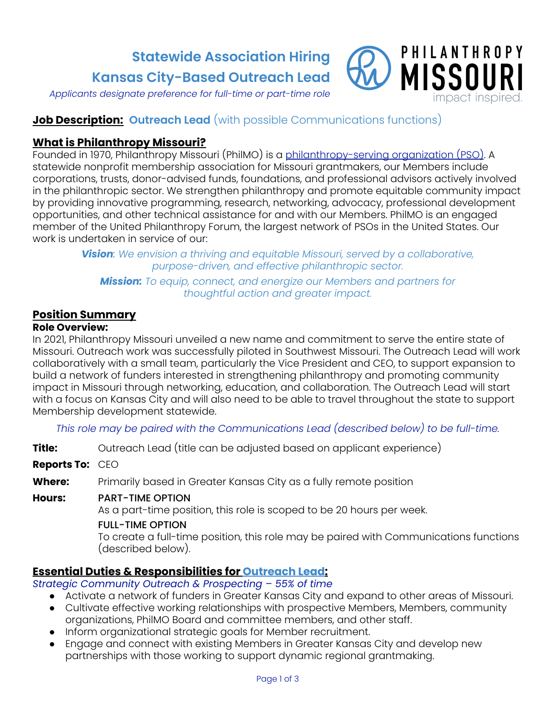**Statewide Association Hiring Kansas City-Based Outreach Lead**



*Applicants designate preference for full-time or part-time role*

# **Job Description: Outreach Lead** (with possible Communications functions)

# **What is Philanthropy Missouri?**

Founded in 1970, Philanthropy Missouri (PhilMO) is a philanthropy-serving organization (PSO). A statewide nonprofit membership association for Missouri grantmakers, our Members include corporations, trusts, donor-advised funds, foundations, and professional advisors actively involved in the philanthropic sector. We strengthen philanthropy and promote equitable community impact by providing innovative programming, research, networking, advocacy, professional development opportunities, and other technical assistance for and with our Members. PhilMO is an engaged member of the United Philanthropy Forum, the largest network of PSOs in the United States. Our work is undertaken in service of our:

> *Vision: We envision a thriving and equitable Missouri, served by a collaborative, purpose-driven, and effective philanthropic sector.*

*Mission: To equip, connect, and energize our Members and partners for thoughtful action and greater impact.*

## **Position Summary**

#### **Role Overview:**

In 2021, Philanthropy Missouri unveiled a new name and commitment to serve the entire state of Missouri. Outreach work was successfully piloted in Southwest Missouri. The Outreach Lead will work collaboratively with a small team, particularly the Vice President and CEO, to support expansion to build a network of funders interested in strengthening philanthropy and promoting community impact in Missouri through networking, education, and collaboration. The Outreach Lead will start with a focus on Kansas City and will also need to be able to travel throughout the state to support Membership development statewide.

*This role may be paired with the Communications Lead (described below) to be full-time.*

**Title:** Outreach Lead (title can be adjusted based on applicant experience)

**Reports To:** CEO

**Where:** Primarily based in Greater Kansas City as a fully remote position

#### **Hours:** PART-TIME OPTION

As a part-time position, this role is scoped to be 20 hours per week.

#### FULL-TIME OPTION

To create a full-time position, this role may be paired with Communications functions (described below).

# **Essential Duties & Responsibilities for Outreach Lead:**

*Strategic Community Outreach & Prospecting – 55% of time*

- Activate a network of funders in Greater Kansas City and expand to other areas of Missouri.
- Cultivate effective working relationships with prospective Members, Members, community organizations, PhilMO Board and committee members, and other staff.
- Inform organizational strategic goals for Member recruitment.
- Engage and connect with existing Members in Greater Kansas City and develop new partnerships with those working to support dynamic regional grantmaking.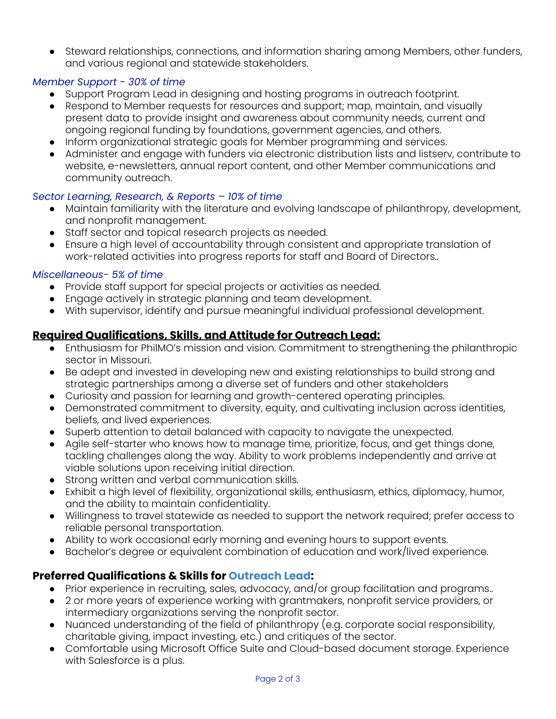● Steward relationships, connections, and information sharing among Members, other funders, and various regional and statewide stakeholders.

### *Member Support - 30% of time*

- Support Program Lead in designing and hosting programs in outreach footprint.
- Respond to Member requests for resources and support; map, maintain, and visually present data to provide insight and awareness about community needs, current and ongoing regional funding by foundations, government agencies, and others.
- Inform organizational strategic goals for Member programming and services.
- Administer and engage with funders via electronic distribution lists and listserv, contribute to website, e-newsletters, annual report content, and other Member communications and community outreach.

### *Sector Learning, Research, & Reports – 10% of time*

- Maintain familiarity with the literature and evolving landscape of philanthropy, development, and nonprofit management.
- Staff sector and topical research projects as needed.
- Ensure a high level of accountability through consistent and appropriate translation of work-related activities into progress reports for staff and Board of Directors..

### *Miscellaneous- 5% of time*

- Provide staff support for special projects or activities as needed.
- Engage actively in strategic planning and team development.
- With supervisor, identify and pursue meaningful individual professional development.

# **Required Qualifications, Skills, and Attitude for Outreach Lead:**

- Enthusiasm for PhilMO's mission and vision. Commitment to strengthening the philanthropic sector in Missouri.
- Be adept and invested in developing new and existing relationships to build strong and strategic partnerships among a diverse set of funders and other stakeholders
- Curiosity and passion for learning and growth-centered operating principles.
- Demonstrated commitment to diversity, equity, and cultivating inclusion across identities, beliefs, and lived experiences.
- Superb attention to detail balanced with capacity to navigate the unexpected.
- Agile self-starter who knows how to manage time, prioritize, focus, and get things done, tackling challenges along the way. Ability to work problems independently and arrive at viable solutions upon receiving initial direction.
- Strong written and verbal communication skills.
- Exhibit a high level of flexibility, organizational skills, enthusiasm, ethics, diplomacy, humor, and the ability to maintain confidentiality.
- Willingness to travel statewide as needed to support the network required; prefer access to reliable personal transportation.
- Ability to work occasional early morning and evening hours to support events.
- Bachelor's degree or equivalent combination of education and work/lived experience.

# **Preferred Qualifications & Skills for Outreach Lead:**

- Prior experience in recruiting, sales, advocacy, and/or group facilitation and programs..
- 2 or more years of experience working with grantmakers, nonprofit service providers, or intermediary organizations serving the nonprofit sector.
- Nuanced understanding of the field of philanthropy (e.g. corporate social responsibility, charitable giving, impact investing, etc.) and critiques of the sector.
- Comfortable using Microsoft Office Suite and Cloud-based document storage. Experience with Salesforce is a plus.